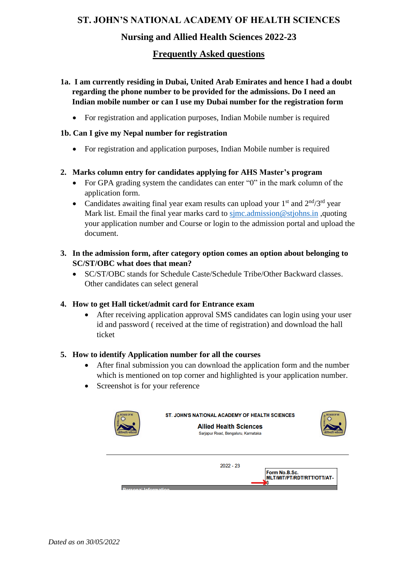## **ST. JOHN'S NATIONAL ACADEMY OF HEALTH SCIENCES**

# **Nursing and Allied Health Sciences 2022-23**

# **Frequently Asked questions**

- **1a. I am currently residing in Dubai, United Arab Emirates and hence I had a doubt regarding the phone number to be provided for the admissions. Do I need an Indian mobile number or can I use my Dubai number for the registration form**
	- For registration and application purposes, Indian Mobile number is required

## **1b. Can I give my Nepal number for registration**

• For registration and application purposes, Indian Mobile number is required

## **2. Marks column entry for candidates applying for AHS Master's program**

- For GPA grading system the candidates can enter "0" in the mark column of the application form.
- Candidates awaiting final year exam results can upload your  $1<sup>st</sup>$  and  $2<sup>nd</sup>/3<sup>rd</sup>$  year Mark list. Email the final year marks card to sime admission@stjohns.in ,quoting your application number and Course or login to the admission portal and upload the document.
- **3. In the admission form, after category option comes an option about belonging to SC/ST/OBC what does that mean?**
	- SC/ST/OBC stands for Schedule Caste/Schedule Tribe/Other Backward classes. Other candidates can select general

#### **4. How to get Hall ticket/admit card for Entrance exam**

• After receiving application approval SMS candidates can login using your user id and password ( received at the time of registration) and download the hall ticket

#### **5. How to identify Application number for all the courses**

- After final submission you can download the application form and the number which is mentioned on top corner and highlighted is your application number.
- Screenshot is for your reference

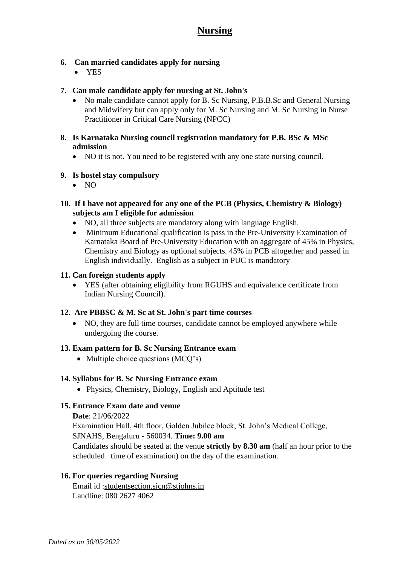## **6. Can married candidates apply for nursing**

• YES

## **7. Can male candidate apply for nursing at St. John's**

- No male candidate cannot apply for B. Sc Nursing, P.B.B.Sc and General Nursing and Midwifery but can apply only for M. Sc Nursing and M. Sc Nursing in Nurse Practitioner in Critical Care Nursing (NPCC)
- **8. Is Karnataka Nursing council registration mandatory for P.B. BSc & MSc admission**
	- NO it is not. You need to be registered with any one state nursing council.

## **9. Is hostel stay compulsory**

- NO
- **10. If I have not appeared for any one of the PCB (Physics, Chemistry & Biology) subjects am I eligible for admission**
	- NO, all three subjects are mandatory along with language English.
	- Minimum Educational qualification is pass in the Pre-University Examination of Karnataka Board of Pre-University Education with an aggregate of 45% in Physics, Chemistry and Biology as optional subjects. 45% in PCB altogether and passed in English individually. English as a subject in PUC is mandatory

#### **11. Can foreign students apply**

• YES (after obtaining eligibility from RGUHS and equivalence certificate from Indian Nursing Council).

#### **12. Are PBBSC & M. Sc at St. John's part time courses**

• NO, they are full time courses, candidate cannot be employed anywhere while undergoing the course.

#### **13. Exam pattern for B. Sc Nursing Entrance exam**

• Multiple choice questions (MCO's)

#### **14. Syllabus for B. Sc Nursing Entrance exam**

• Physics, Chemistry, Biology, English and Aptitude test

#### **15. Entrance Exam date and venue**

**Date**: 21/06/2022

Examination Hall, 4th floor, Golden Jubilee block, St. John's Medical College,

SJNAHS, Bengaluru - 560034. **Time: 9.00 am** 

Candidates should be seated at the venue **strictly by 8.30 am** (half an hour prior to the scheduled time of examination) on the day of the examination.

#### **16. For queries regarding Nursing**

Email id :studentsection.sjcn@stjohns.in Landline: 080 2627 4062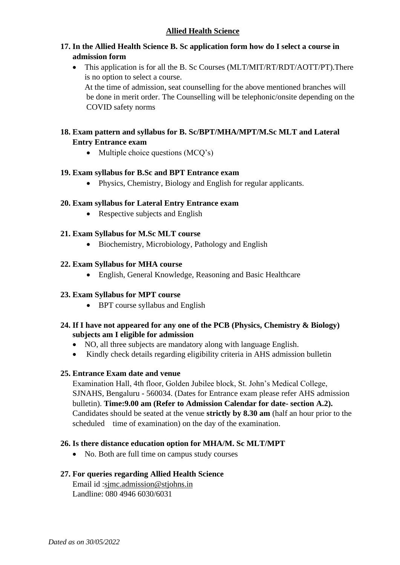## **17. In the Allied Health Science B. Sc application form how do I select a course in admission form**

• This application is for all the B. Sc Courses (MLT/MIT/RT/RDT/AOTT/PT). There is no option to select a course.

 At the time of admission, seat counselling for the above mentioned branches will be done in merit order. The Counselling will be telephonic/onsite depending on the COVID safety norms

## **18. Exam pattern and syllabus for B. Sc/BPT/MHA/MPT/M.Sc MLT and Lateral Entry Entrance exam**

• Multiple choice questions (MCQ's)

#### **19. Exam syllabus for B.Sc and BPT Entrance exam**

• Physics, Chemistry, Biology and English for regular applicants.

## **20. Exam syllabus for Lateral Entry Entrance exam**

• Respective subjects and English

## **21. Exam Syllabus for M.Sc MLT course**

• Biochemistry, Microbiology, Pathology and English

#### **22. Exam Syllabus for MHA course**

• English, General Knowledge, Reasoning and Basic Healthcare

#### **23. Exam Syllabus for MPT course**

• BPT course syllabus and English

#### **24. If I have not appeared for any one of the PCB (Physics, Chemistry & Biology) subjects am I eligible for admission**

- NO, all three subjects are mandatory along with language English.
- Kindly check details regarding eligibility criteria in AHS admission bulletin

#### **25. Entrance Exam date and venue**

Examination Hall, 4th floor, Golden Jubilee block, St. John's Medical College, SJNAHS, Bengaluru - 560034. (Dates for Entrance exam please refer AHS admission bulletin). **Time:9.00 am (Refer to Admission Calendar for date- section A.2).** Candidates should be seated at the venue **strictly by 8.30 am** (half an hour prior to the scheduled time of examination) on the day of the examination.

#### **26. Is there distance education option for MHA/M. Sc MLT/MPT**

• No. Both are full time on campus study courses

#### **27. For queries regarding Allied Health Science**

Email id :sjmc.admission@stjohns.in Landline: 080 4946 6030/6031